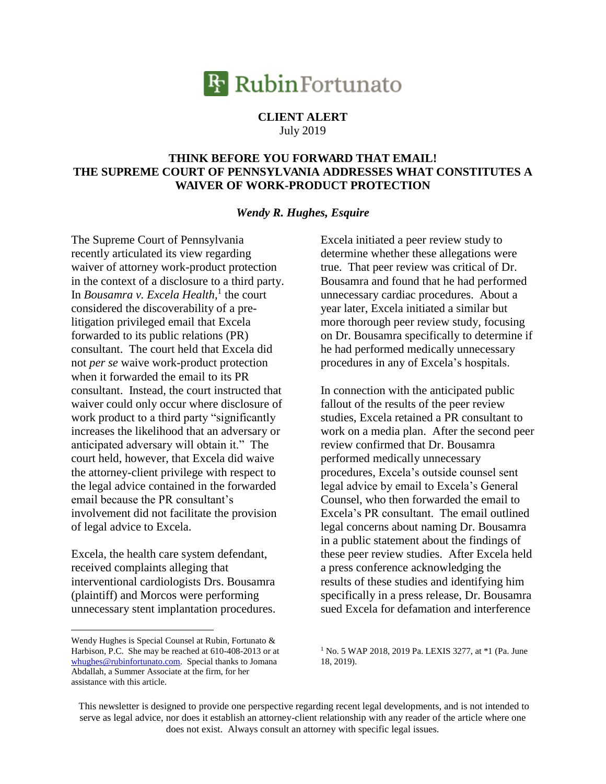## **R** RubinFortunato

## **CLIENT ALERT** July 2019

## **THINK BEFORE YOU FORWARD THAT EMAIL! THE SUPREME COURT OF PENNSYLVANIA ADDRESSES WHAT CONSTITUTES A WAIVER OF WORK-PRODUCT PROTECTION**

## *Wendy R. Hughes, Esquire*

The Supreme Court of Pennsylvania recently articulated its view regarding waiver of attorney work-product protection in the context of a disclosure to a third party. In *Bousamra v. Excela Health,* 1 the court considered the discoverability of a prelitigation privileged email that Excela forwarded to its public relations (PR) consultant. The court held that Excela did not *per se* waive work-product protection when it forwarded the email to its PR consultant. Instead, the court instructed that waiver could only occur where disclosure of work product to a third party "significantly increases the likelihood that an adversary or anticipated adversary will obtain it." The court held, however, that Excela did waive the attorney-client privilege with respect to the legal advice contained in the forwarded email because the PR consultant's involvement did not facilitate the provision of legal advice to Excela.

Excela, the health care system defendant, received complaints alleging that interventional cardiologists Drs. Bousamra (plaintiff) and Morcos were performing unnecessary stent implantation procedures.

Wendy Hughes is Special Counsel at Rubin, Fortunato & Harbison, P.C. She may be reached at 610-408-2013 or at [whughes@rubinfortunato.com.](mailto:whughes@rubinfortunato.com) Special thanks to Jomana Abdallah, a Summer Associate at the firm, for her assistance with this article.

 $\overline{a}$ 

Excela initiated a peer review study to determine whether these allegations were true. That peer review was critical of Dr. Bousamra and found that he had performed unnecessary cardiac procedures. About a year later, Excela initiated a similar but more thorough peer review study, focusing on Dr. Bousamra specifically to determine if he had performed medically unnecessary procedures in any of Excela's hospitals.

In connection with the anticipated public fallout of the results of the peer review studies, Excela retained a PR consultant to work on a media plan. After the second peer review confirmed that Dr. Bousamra performed medically unnecessary procedures, Excela's outside counsel sent legal advice by email to Excela's General Counsel, who then forwarded the email to Excela's PR consultant. The email outlined legal concerns about naming Dr. Bousamra in a public statement about the findings of these peer review studies. After Excela held a press conference acknowledging the results of these studies and identifying him specifically in a press release, Dr. Bousamra sued Excela for defamation and interference

<sup>1</sup> No. 5 WAP 2018, 2019 Pa. LEXIS 3277, at \*1 (Pa. June 18, 2019).

This newsletter is designed to provide one perspective regarding recent legal developments, and is not intended to serve as legal advice, nor does it establish an attorney-client relationship with any reader of the article where one does not exist. Always consult an attorney with specific legal issues.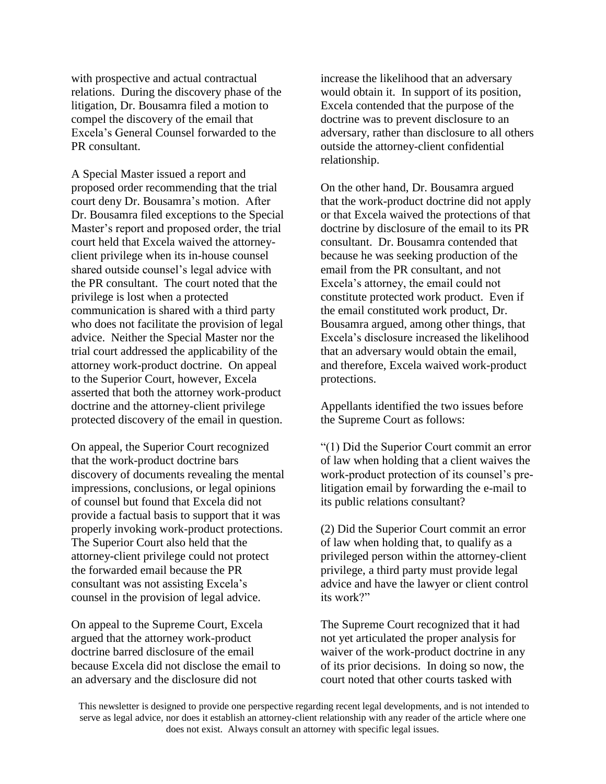with prospective and actual contractual relations. During the discovery phase of the litigation, Dr. Bousamra filed a motion to compel the discovery of the email that Excela's General Counsel forwarded to the PR consultant.

A Special Master issued a report and proposed order recommending that the trial court deny Dr. Bousamra's motion. After Dr. Bousamra filed exceptions to the Special Master's report and proposed order, the trial court held that Excela waived the attorneyclient privilege when its in-house counsel shared outside counsel's legal advice with the PR consultant. The court noted that the privilege is lost when a protected communication is shared with a third party who does not facilitate the provision of legal advice. Neither the Special Master nor the trial court addressed the applicability of the attorney work-product doctrine. On appeal to the Superior Court, however, Excela asserted that both the attorney work-product doctrine and the attorney-client privilege protected discovery of the email in question.

On appeal, the Superior Court recognized that the work-product doctrine bars discovery of documents revealing the mental impressions, conclusions, or legal opinions of counsel but found that Excela did not provide a factual basis to support that it was properly invoking work-product protections. The Superior Court also held that the attorney-client privilege could not protect the forwarded email because the PR consultant was not assisting Excela's counsel in the provision of legal advice.

On appeal to the Supreme Court, Excela argued that the attorney work-product doctrine barred disclosure of the email because Excela did not disclose the email to an adversary and the disclosure did not

increase the likelihood that an adversary would obtain it. In support of its position, Excela contended that the purpose of the doctrine was to prevent disclosure to an adversary, rather than disclosure to all others outside the attorney-client confidential relationship.

On the other hand, Dr. Bousamra argued that the work-product doctrine did not apply or that Excela waived the protections of that doctrine by disclosure of the email to its PR consultant. Dr. Bousamra contended that because he was seeking production of the email from the PR consultant, and not Excela's attorney, the email could not constitute protected work product. Even if the email constituted work product, Dr. Bousamra argued, among other things, that Excela's disclosure increased the likelihood that an adversary would obtain the email, and therefore, Excela waived work-product protections.

Appellants identified the two issues before the Supreme Court as follows:

"(1) Did the Superior Court commit an error of law when holding that a client waives the work-product protection of its counsel's prelitigation email by forwarding the e-mail to its public relations consultant?

(2) Did the Superior Court commit an error of law when holding that, to qualify as a privileged person within the attorney-client privilege, a third party must provide legal advice and have the lawyer or client control its work?"

The Supreme Court recognized that it had not yet articulated the proper analysis for waiver of the work-product doctrine in any of its prior decisions. In doing so now, the court noted that other courts tasked with

This newsletter is designed to provide one perspective regarding recent legal developments, and is not intended to serve as legal advice, nor does it establish an attorney-client relationship with any reader of the article where one does not exist. Always consult an attorney with specific legal issues.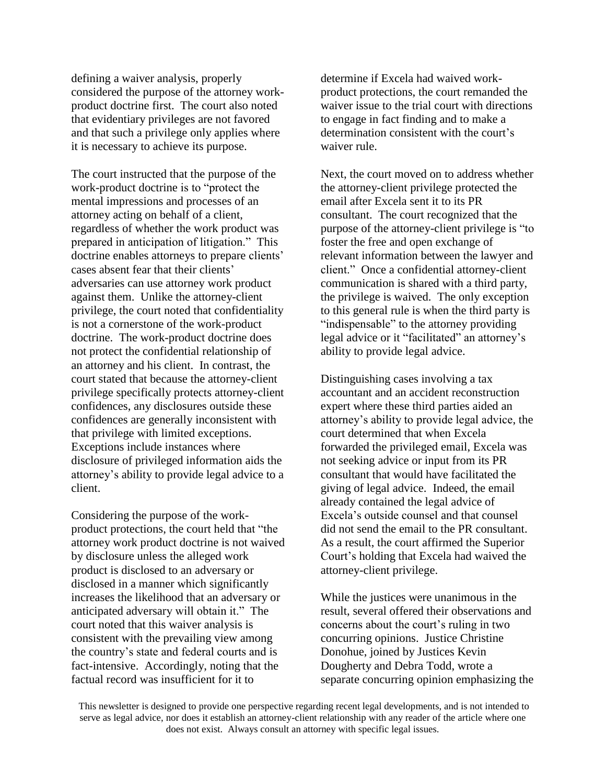defining a waiver analysis, properly considered the purpose of the attorney workproduct doctrine first. The court also noted that evidentiary privileges are not favored and that such a privilege only applies where it is necessary to achieve its purpose.

The court instructed that the purpose of the work-product doctrine is to "protect the mental impressions and processes of an attorney acting on behalf of a client, regardless of whether the work product was prepared in anticipation of litigation." This doctrine enables attorneys to prepare clients' cases absent fear that their clients' adversaries can use attorney work product against them. Unlike the attorney-client privilege, the court noted that confidentiality is not a cornerstone of the work-product doctrine. The work-product doctrine does not protect the confidential relationship of an attorney and his client. In contrast, the court stated that because the attorney-client privilege specifically protects attorney-client confidences, any disclosures outside these confidences are generally inconsistent with that privilege with limited exceptions. Exceptions include instances where disclosure of privileged information aids the attorney's ability to provide legal advice to a client.

Considering the purpose of the workproduct protections, the court held that "the attorney work product doctrine is not waived by disclosure unless the alleged work product is disclosed to an adversary or disclosed in a manner which significantly increases the likelihood that an adversary or anticipated adversary will obtain it." The court noted that this waiver analysis is consistent with the prevailing view among the country's state and federal courts and is fact-intensive. Accordingly, noting that the factual record was insufficient for it to

determine if Excela had waived workproduct protections, the court remanded the waiver issue to the trial court with directions to engage in fact finding and to make a determination consistent with the court's waiver rule.

Next, the court moved on to address whether the attorney-client privilege protected the email after Excela sent it to its PR consultant. The court recognized that the purpose of the attorney-client privilege is "to foster the free and open exchange of relevant information between the lawyer and client." Once a confidential attorney-client communication is shared with a third party, the privilege is waived. The only exception to this general rule is when the third party is "indispensable" to the attorney providing legal advice or it "facilitated" an attorney's ability to provide legal advice.

Distinguishing cases involving a tax accountant and an accident reconstruction expert where these third parties aided an attorney's ability to provide legal advice, the court determined that when Excela forwarded the privileged email, Excela was not seeking advice or input from its PR consultant that would have facilitated the giving of legal advice. Indeed, the email already contained the legal advice of Excela's outside counsel and that counsel did not send the email to the PR consultant. As a result, the court affirmed the Superior Court's holding that Excela had waived the attorney-client privilege.

While the justices were unanimous in the result, several offered their observations and concerns about the court's ruling in two concurring opinions. Justice Christine Donohue, joined by Justices Kevin Dougherty and Debra Todd, wrote a separate concurring opinion emphasizing the

This newsletter is designed to provide one perspective regarding recent legal developments, and is not intended to serve as legal advice, nor does it establish an attorney-client relationship with any reader of the article where one does not exist. Always consult an attorney with specific legal issues.